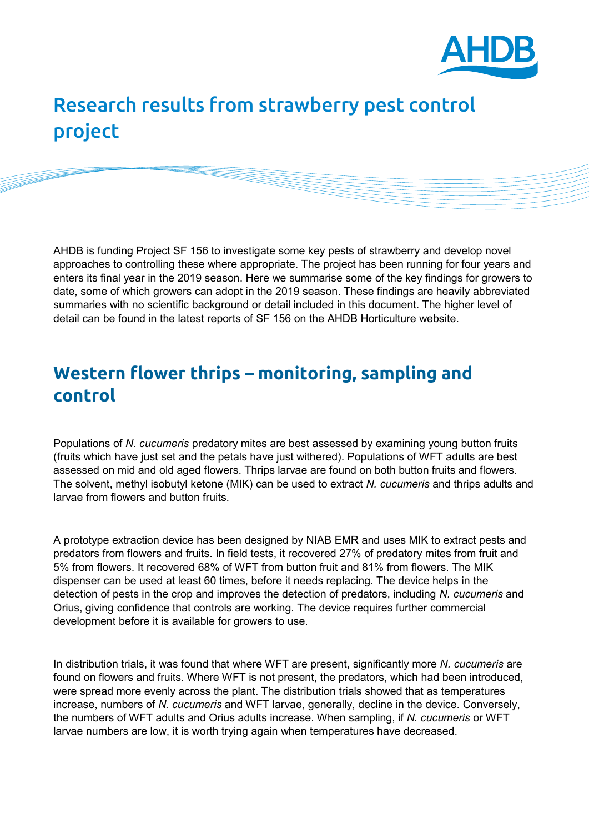

# Research results from strawberry pest control project

AHDB is funding Project SF 156 to investigate some key pests of strawberry and develop novel approaches to controlling these where appropriate. The project has been running for four years and enters its final year in the 2019 season. Here we summarise some of the key findings for growers to date, some of which growers can adopt in the 2019 season. These findings are heavily abbreviated summaries with no scientific background or detail included in this document. The higher level of detail can be found in the latest reports of SF 156 on the AHDB Horticulture website.

# **Western flower thrips – monitoring, sampling and control**

Populations of *N. cucumeris* predatory mites are best assessed by examining young button fruits (fruits which have just set and the petals have just withered). Populations of WFT adults are best assessed on mid and old aged flowers. Thrips larvae are found on both button fruits and flowers. The solvent, methyl isobutyl ketone (MIK) can be used to extract *N. cucumeris* and thrips adults and larvae from flowers and button fruits.

A prototype extraction device has been designed by NIAB EMR and uses MIK to extract pests and predators from flowers and fruits. In field tests, it recovered 27% of predatory mites from fruit and 5% from flowers. It recovered 68% of WFT from button fruit and 81% from flowers. The MIK dispenser can be used at least 60 times, before it needs replacing. The device helps in the detection of pests in the crop and improves the detection of predators, including *N. cucumeris* and Orius, giving confidence that controls are working. The device requires further commercial development before it is available for growers to use.

In distribution trials, it was found that where WFT are present, significantly more *N. cucumeris* are found on flowers and fruits. Where WFT is not present, the predators, which had been introduced, were spread more evenly across the plant. The distribution trials showed that as temperatures increase, numbers of *N. cucumeris* and WFT larvae, generally, decline in the device. Conversely, the numbers of WFT adults and Orius adults increase. When sampling, if *N. cucumeris* or WFT larvae numbers are low, it is worth trying again when temperatures have decreased.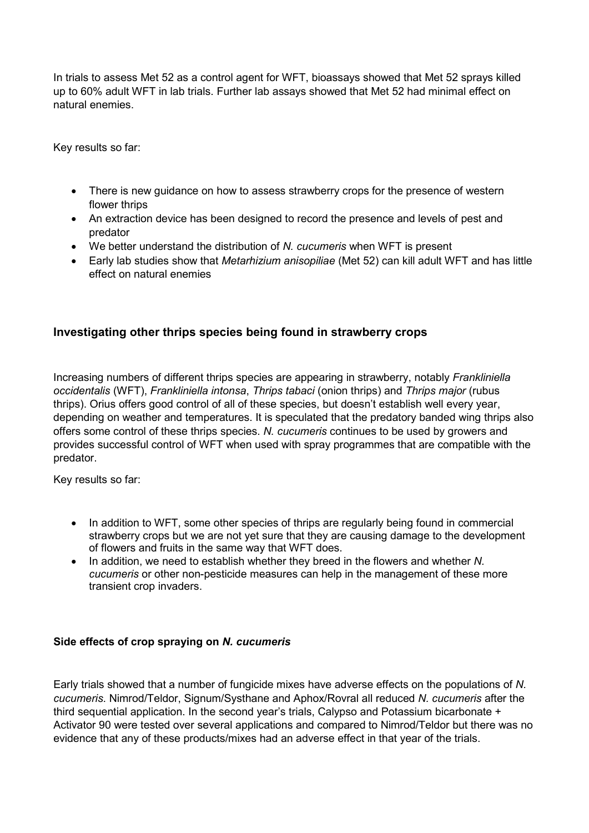In trials to assess Met 52 as a control agent for WFT, bioassays showed that Met 52 sprays killed up to 60% adult WFT in lab trials. Further lab assays showed that Met 52 had minimal effect on natural enemies.

Key results so far:

- There is new guidance on how to assess strawberry crops for the presence of western flower thrips
- An extraction device has been designed to record the presence and levels of pest and predator
- We better understand the distribution of *N. cucumeris* when WFT is present
- Early lab studies show that *Metarhizium anisopiliae* (Met 52) can kill adult WFT and has little effect on natural enemies

## **Investigating other thrips species being found in strawberry crops**

Increasing numbers of different thrips species are appearing in strawberry, notably *Frankliniella occidentalis* (WFT), *Frankliniella intonsa*, *Thrips tabaci* (onion thrips) and *Thrips major* (rubus thrips). Orius offers good control of all of these species, but doesn't establish well every year, depending on weather and temperatures. It is speculated that the predatory banded wing thrips also offers some control of these thrips species. *N. cucumeris* continues to be used by growers and provides successful control of WFT when used with spray programmes that are compatible with the predator.

Key results so far:

- In addition to WFT, some other species of thrips are regularly being found in commercial strawberry crops but we are not yet sure that they are causing damage to the development of flowers and fruits in the same way that WFT does.
- In addition, we need to establish whether they breed in the flowers and whether *N. cucumeris* or other non-pesticide measures can help in the management of these more transient crop invaders.

### **Side effects of crop spraying on** *N. cucumeris*

Early trials showed that a number of fungicide mixes have adverse effects on the populations of *N. cucumeris*. Nimrod/Teldor, Signum/Systhane and Aphox/Rovral all reduced *N. cucumeris* after the third sequential application. In the second year's trials, Calypso and Potassium bicarbonate + Activator 90 were tested over several applications and compared to Nimrod/Teldor but there was no evidence that any of these products/mixes had an adverse effect in that year of the trials.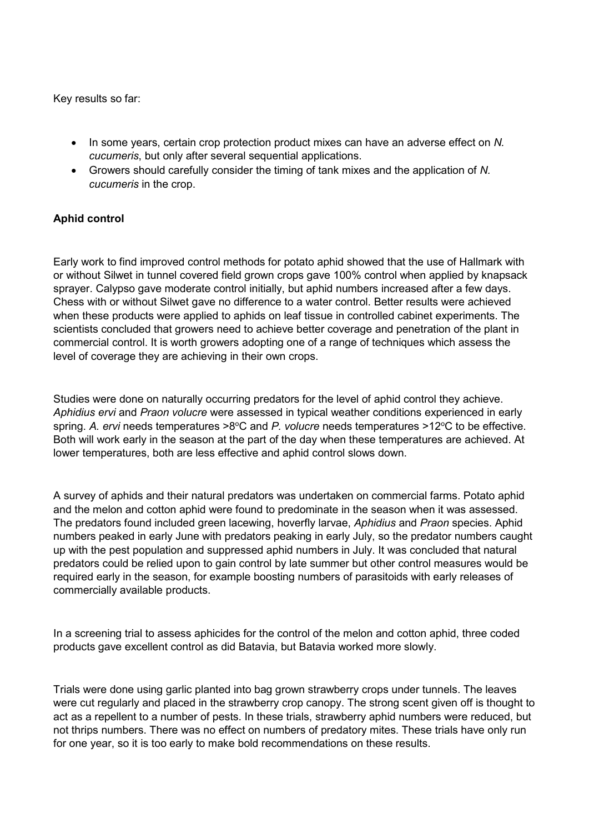Key results so far:

- In some years, certain crop protection product mixes can have an adverse effect on *N. cucumeris*, but only after several sequential applications.
- Growers should carefully consider the timing of tank mixes and the application of *N. cucumeris* in the crop.

#### **Aphid control**

Early work to find improved control methods for potato aphid showed that the use of Hallmark with or without Silwet in tunnel covered field grown crops gave 100% control when applied by knapsack sprayer. Calypso gave moderate control initially, but aphid numbers increased after a few days. Chess with or without Silwet gave no difference to a water control. Better results were achieved when these products were applied to aphids on leaf tissue in controlled cabinet experiments. The scientists concluded that growers need to achieve better coverage and penetration of the plant in commercial control. It is worth growers adopting one of a range of techniques which assess the level of coverage they are achieving in their own crops.

Studies were done on naturally occurring predators for the level of aphid control they achieve. *Aphidius ervi* and *Praon volucre* were assessed in typical weather conditions experienced in early spring. A. ervi needs temperatures >8°C and P. volucre needs temperatures >12°C to be effective. Both will work early in the season at the part of the day when these temperatures are achieved. At lower temperatures, both are less effective and aphid control slows down.

A survey of aphids and their natural predators was undertaken on commercial farms. Potato aphid and the melon and cotton aphid were found to predominate in the season when it was assessed. The predators found included green lacewing, hoverfly larvae, *Aphidius* and *Praon* species. Aphid numbers peaked in early June with predators peaking in early July, so the predator numbers caught up with the pest population and suppressed aphid numbers in July. It was concluded that natural predators could be relied upon to gain control by late summer but other control measures would be required early in the season, for example boosting numbers of parasitoids with early releases of commercially available products.

In a screening trial to assess aphicides for the control of the melon and cotton aphid, three coded products gave excellent control as did Batavia, but Batavia worked more slowly.

Trials were done using garlic planted into bag grown strawberry crops under tunnels. The leaves were cut regularly and placed in the strawberry crop canopy. The strong scent given off is thought to act as a repellent to a number of pests. In these trials, strawberry aphid numbers were reduced, but not thrips numbers. There was no effect on numbers of predatory mites. These trials have only run for one year, so it is too early to make bold recommendations on these results.